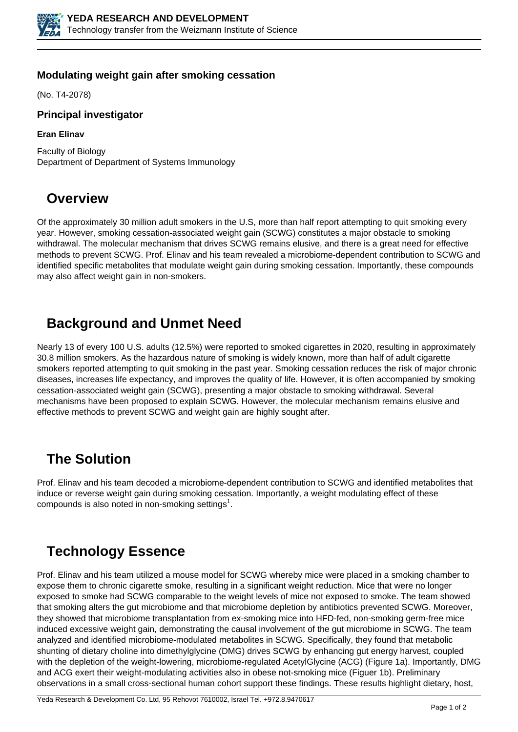

#### **Modulating weight gain after smoking cessation**

(No. T4-2078)

#### **Principal investigator**

#### **Eran Elinav**

Faculty of Biology Department of Department of Systems Immunology

### **Overview**

Of the approximately 30 million adult smokers in the U.S, more than half report attempting to quit smoking every year. However, smoking cessation-associated weight gain (SCWG) constitutes a major obstacle to smoking withdrawal. The molecular mechanism that drives SCWG remains elusive, and there is a great need for effective methods to prevent SCWG. Prof. Elinav and his team revealed a microbiome-dependent contribution to SCWG and identified specific metabolites that modulate weight gain during smoking cessation. Importantly, these compounds may also affect weight gain in non-smokers.

## **Background and Unmet Need**

Nearly 13 of every 100 U.S. adults (12.5%) were reported to smoked cigarettes in 2020, resulting in approximately 30.8 million smokers. As the hazardous nature of smoking is widely known, more than half of adult cigarette smokers reported attempting to quit smoking in the past year. Smoking cessation reduces the risk of major chronic diseases, increases life expectancy, and improves the quality of life. However, it is often accompanied by smoking cessation-associated weight gain (SCWG), presenting a major obstacle to smoking withdrawal. Several mechanisms have been proposed to explain SCWG. However, the molecular mechanism remains elusive and effective methods to prevent SCWG and weight gain are highly sought after.

#### **The Solution**

Prof. Elinav and his team decoded a microbiome-dependent contribution to SCWG and identified metabolites that induce or reverse weight gain during smoking cessation. Importantly, a weight modulating effect of these compounds is also noted in non-smoking settings<sup>1</sup>.

# **Technology Essence**

Prof. Elinav and his team utilized a mouse model for SCWG whereby mice were placed in a smoking chamber to expose them to chronic cigarette smoke, resulting in a significant weight reduction. Mice that were no longer exposed to smoke had SCWG comparable to the weight levels of mice not exposed to smoke. The team showed that smoking alters the gut microbiome and that microbiome depletion by antibiotics prevented SCWG. Moreover, they showed that microbiome transplantation from ex-smoking mice into HFD-fed, non-smoking germ-free mice induced excessive weight gain, demonstrating the causal involvement of the gut microbiome in SCWG. The team analyzed and identified microbiome-modulated metabolites in SCWG. Specifically, they found that metabolic shunting of dietary choline into dimethylglycine (DMG) drives SCWG by enhancing gut energy harvest, coupled with the depletion of the weight-lowering, microbiome-regulated AcetylGlycine (ACG) (Figure 1a). Importantly, DMG and ACG exert their weight-modulating activities also in obese not-smoking mice (Figuer 1b). Preliminary observations in a small cross-sectional human cohort support these findings. These results highlight dietary, host,